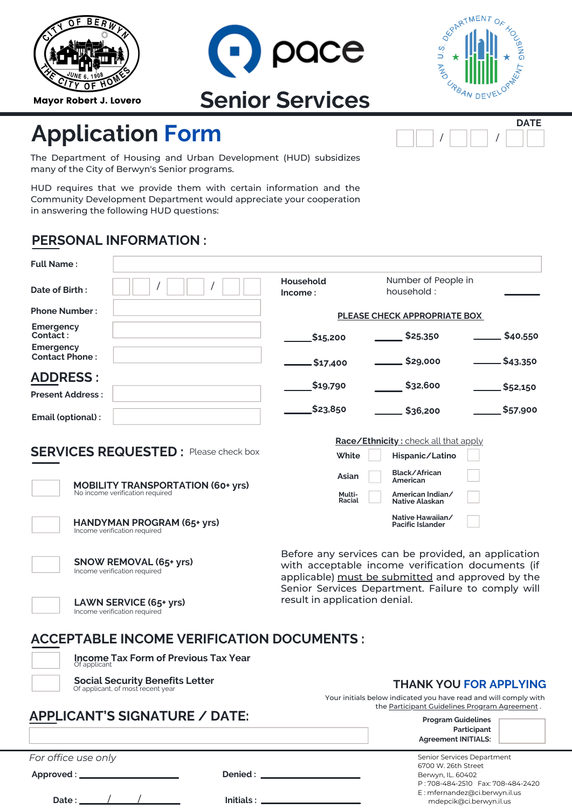| <b>BERW</b>  |
|--------------|
| JUNE 6, 1908 |
|              |

Mayor Robert J. Lovero





/ | | |

**DATE**

## **Application Form**

The Department of Housing and Urban Development (HUD) subsidizes many of the City of Berwyn's Senior programs.

HUD requires that we provide them with certain information and the Community Development Department would appreciate your cooperation in answering the following HUD questions:

## **PERSONAL INFORMATION :**

| <b>Full Name:</b>                                                           |                                                                                                                                                               |                                                                                                                   |  |  |
|-----------------------------------------------------------------------------|---------------------------------------------------------------------------------------------------------------------------------------------------------------|-------------------------------------------------------------------------------------------------------------------|--|--|
| Date of Birth:                                                              | Household<br>lncome:                                                                                                                                          | Number of People in<br>household:                                                                                 |  |  |
| <b>Phone Number:</b>                                                        |                                                                                                                                                               | <b>PLEASE CHECK APPROPRIATE BOX</b>                                                                               |  |  |
| Emergency<br>Contact:<br><b>Emergency</b>                                   | \$15,200                                                                                                                                                      | \$40,550<br>\$25,350                                                                                              |  |  |
| <b>Contact Phone:</b>                                                       | \$17,400.                                                                                                                                                     | \$29,000<br>\$43,350                                                                                              |  |  |
| <b>ADDRESS:</b><br><b>Present Address:</b>                                  | \$19,790                                                                                                                                                      | \$32,600<br>\$52,150                                                                                              |  |  |
| Email (optional) :                                                          | \$23,850                                                                                                                                                      | \$57,900<br>\$36,200                                                                                              |  |  |
|                                                                             |                                                                                                                                                               | Race/Ethnicity: check all that apply                                                                              |  |  |
| <b>SERVICES REQUESTED:</b> Please check box                                 | White                                                                                                                                                         | Hispanic/Latino                                                                                                   |  |  |
| <b>MOBILITY TRANSPORTATION (60+ yrs)</b>                                    | Asian                                                                                                                                                         | Black/African<br>American                                                                                         |  |  |
| No income verification required                                             | Multi-<br>Racial                                                                                                                                              | American Indian/<br>Native Alaskan                                                                                |  |  |
| HANDYMAN PROGRAM (65+ yrs)<br>Income verification required                  |                                                                                                                                                               | Native Hawaiian/<br><b>Pacific Islander</b>                                                                       |  |  |
| <b>SNOW REMOVAL (65+ yrs)</b><br>Income verification required               | Before any services can be provided, an application<br>with acceptable income verification documents (if<br>applicable) must be submitted and approved by the |                                                                                                                   |  |  |
| LAWN SERVICE (65+ yrs)<br>Income verification required                      | Senior Services Department. Failure to comply will<br>result in application denial.                                                                           |                                                                                                                   |  |  |
| <b>ACCEPTABLE INCOME VERIFICATION DOCUMENTS:</b>                            |                                                                                                                                                               |                                                                                                                   |  |  |
| <b>Income Tax Form of Previous Tax Year</b><br>Of applicant                 |                                                                                                                                                               |                                                                                                                   |  |  |
| <b>Social Security Benefits Letter</b><br>Of applicant, of most recent year | <b>THANK YOU FOR APPLYING</b>                                                                                                                                 |                                                                                                                   |  |  |
|                                                                             |                                                                                                                                                               | Your initials below indicated you have read and will comply with<br>the Participant Guidelines Program Agreement. |  |  |
| <b>APPLICANT'S SIGNATURE / DATE:</b>                                        |                                                                                                                                                               | <b>Program Guidelines</b><br>Participant<br><b>Agreement INITIALS:</b>                                            |  |  |
| For office use only                                                         |                                                                                                                                                               | Senior Services Department<br>6700 W. 26th Street<br>Berwyn, IL. 60402                                            |  |  |

| . |  |  |
|---|--|--|
|   |  |  |

**Initials :**

Berwyn, IL. 60402 P : 708-484-2510 Fax: 708-484-2420 E : mfernandez@ci.berwyn.il.us mdepcik@ci.berwyn.il.us